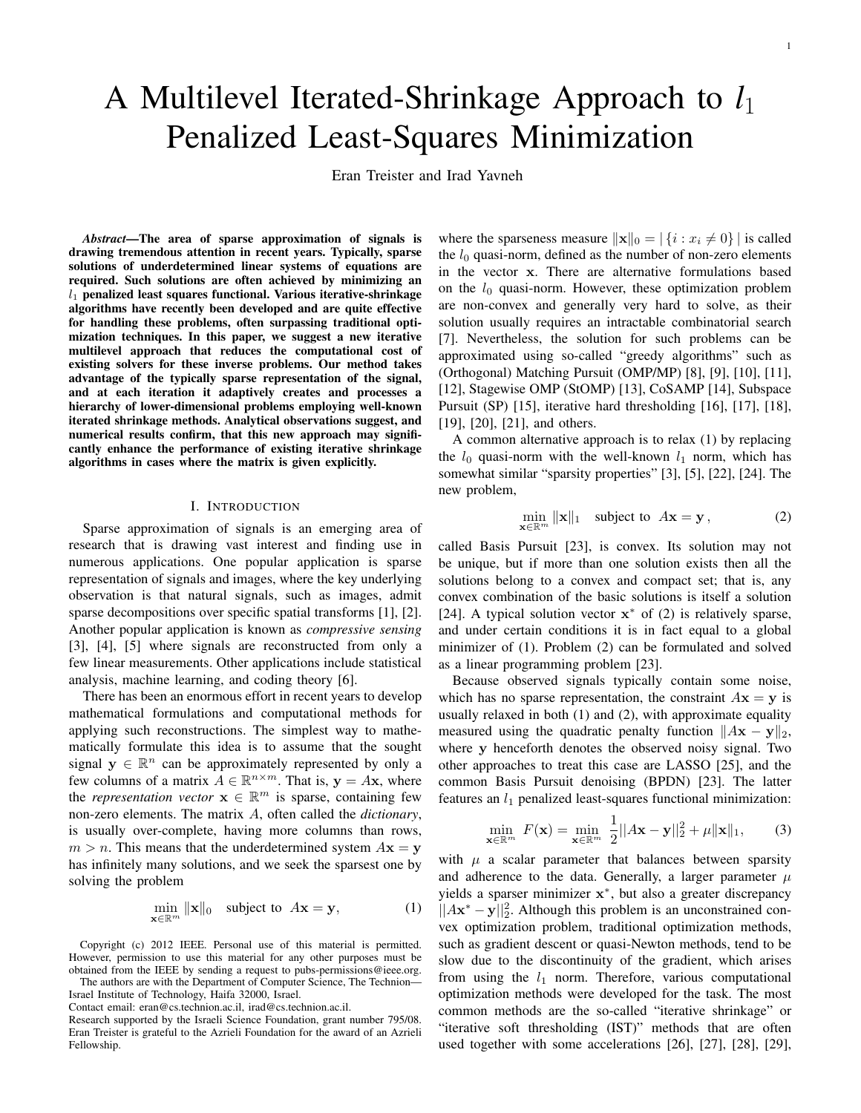# A Multilevel Iterated-Shrinkage Approach to *l*<sup>1</sup> Penalized Least-Squares Minimization

Eran Treister and Irad Yavneh

*Abstract*—The area of sparse approximation of signals is drawing tremendous attention in recent years. Typically, sparse solutions of underdetermined linear systems of equations are required. Such solutions are often achieved by minimizing an *l*<sup>1</sup> penalized least squares functional. Various iterative-shrinkage algorithms have recently been developed and are quite effective for handling these problems, often surpassing traditional optimization techniques. In this paper, we suggest a new iterative multilevel approach that reduces the computational cost of existing solvers for these inverse problems. Our method takes advantage of the typically sparse representation of the signal, and at each iteration it adaptively creates and processes a hierarchy of lower-dimensional problems employing well-known iterated shrinkage methods. Analytical observations suggest, and numerical results confirm, that this new approach may significantly enhance the performance of existing iterative shrinkage algorithms in cases where the matrix is given explicitly.

#### I. INTRODUCTION

Sparse approximation of signals is an emerging area of research that is drawing vast interest and finding use in numerous applications. One popular application is sparse representation of signals and images, where the key underlying observation is that natural signals, such as images, admit sparse decompositions over specific spatial transforms [1], [2]. Another popular application is known as *compressive sensing* [3], [4], [5] where signals are reconstructed from only a few linear measurements. Other applications include statistical analysis, machine learning, and coding theory [6].

There has been an enormous effort in recent years to develop mathematical formulations and computational methods for applying such reconstructions. The simplest way to mathematically formulate this idea is to assume that the sought signal  $y \in \mathbb{R}^n$  can be approximately represented by only a few columns of a matrix  $A \in \mathbb{R}^{n \times m}$ . That is,  $y = Ax$ , where the *representation vector*  $\mathbf{x} \in \mathbb{R}^m$  is sparse, containing few non-zero elements. The matrix *A*, often called the *dictionary*, is usually over-complete, having more columns than rows,  $m > n$ . This means that the underdetermined system  $A$ **x** = **y** has infinitely many solutions, and we seek the sparsest one by solving the problem

$$
\min_{\mathbf{x} \in \mathbb{R}^m} \|\mathbf{x}\|_0 \quad \text{subject to} \quad A\mathbf{x} = \mathbf{y}, \tag{1}
$$

Copyright (c) 2012 IEEE. Personal use of this material is permitted. However, permission to use this material for any other purposes must be obtained from the IEEE by sending a request to pubs-permissions@ieee.org. The authors are with the Department of Computer Science, The Technion—

Israel Institute of Technology, Haifa 32000, Israel.

Contact email: eran@cs.technion.ac.il, irad@cs.technion.ac.il.

where the sparseness measure  $\|\mathbf{x}\|_0 = |\{i : x_i \neq 0\}|$  is called the  $l_0$  quasi-norm, defined as the number of non-zero elements in the vector **x**. There are alternative formulations based on the  $l_0$  quasi-norm. However, these optimization problem are non-convex and generally very hard to solve, as their solution usually requires an intractable combinatorial search [7]. Nevertheless, the solution for such problems can be approximated using so-called "greedy algorithms" such as (Orthogonal) Matching Pursuit (OMP/MP) [8], [9], [10], [11], [12], Stagewise OMP (StOMP) [13], CoSAMP [14], Subspace Pursuit (SP) [15], iterative hard thresholding [16], [17], [18], [19], [20], [21], and others.

A common alternative approach is to relax (1) by replacing the  $l_0$  quasi-norm with the well-known  $l_1$  norm, which has somewhat similar "sparsity properties" [3], [5], [22], [24]. The new problem,

$$
\min_{\mathbf{x} \in \mathbb{R}^m} \|\mathbf{x}\|_1 \quad \text{subject to} \quad A\mathbf{x} = \mathbf{y}, \tag{2}
$$

called Basis Pursuit [23], is convex. Its solution may not be unique, but if more than one solution exists then all the solutions belong to a convex and compact set; that is, any convex combination of the basic solutions is itself a solution [24]. A typical solution vector **x** *<sup>∗</sup>* of (2) is relatively sparse, and under certain conditions it is in fact equal to a global minimizer of (1). Problem (2) can be formulated and solved as a linear programming problem [23].

Because observed signals typically contain some noise, which has no sparse representation, the constraint  $A$ **x** = **y** is usually relaxed in both (1) and (2), with approximate equality measured using the quadratic penalty function  $||Ax - y||_2$ , where **y** henceforth denotes the observed noisy signal. Two other approaches to treat this case are LASSO [25], and the common Basis Pursuit denoising (BPDN) [23]. The latter features an  $l_1$  penalized least-squares functional minimization:

$$
\min_{\mathbf{x} \in \mathbb{R}^m} F(\mathbf{x}) = \min_{\mathbf{x} \in \mathbb{R}^m} \frac{1}{2} ||A\mathbf{x} - \mathbf{y}||_2^2 + \mu \|\mathbf{x}\|_1, \tag{3}
$$

with  $\mu$  a scalar parameter that balances between sparsity and adherence to the data. Generally, a larger parameter  $\mu$ yields a sparser minimizer **x** *∗* , but also a greater discrepancy *||A***x** *<sup>∗</sup> −* **y***||*<sup>2</sup> 2 . Although this problem is an unconstrained convex optimization problem, traditional optimization methods, such as gradient descent or quasi-Newton methods, tend to be slow due to the discontinuity of the gradient, which arises from using the  $l_1$  norm. Therefore, various computational optimization methods were developed for the task. The most common methods are the so-called "iterative shrinkage" or "iterative soft thresholding (IST)" methods that are often used together with some accelerations [26], [27], [28], [29],

Research supported by the Israeli Science Foundation, grant number 795/08. Eran Treister is grateful to the Azrieli Foundation for the award of an Azrieli Fellowship.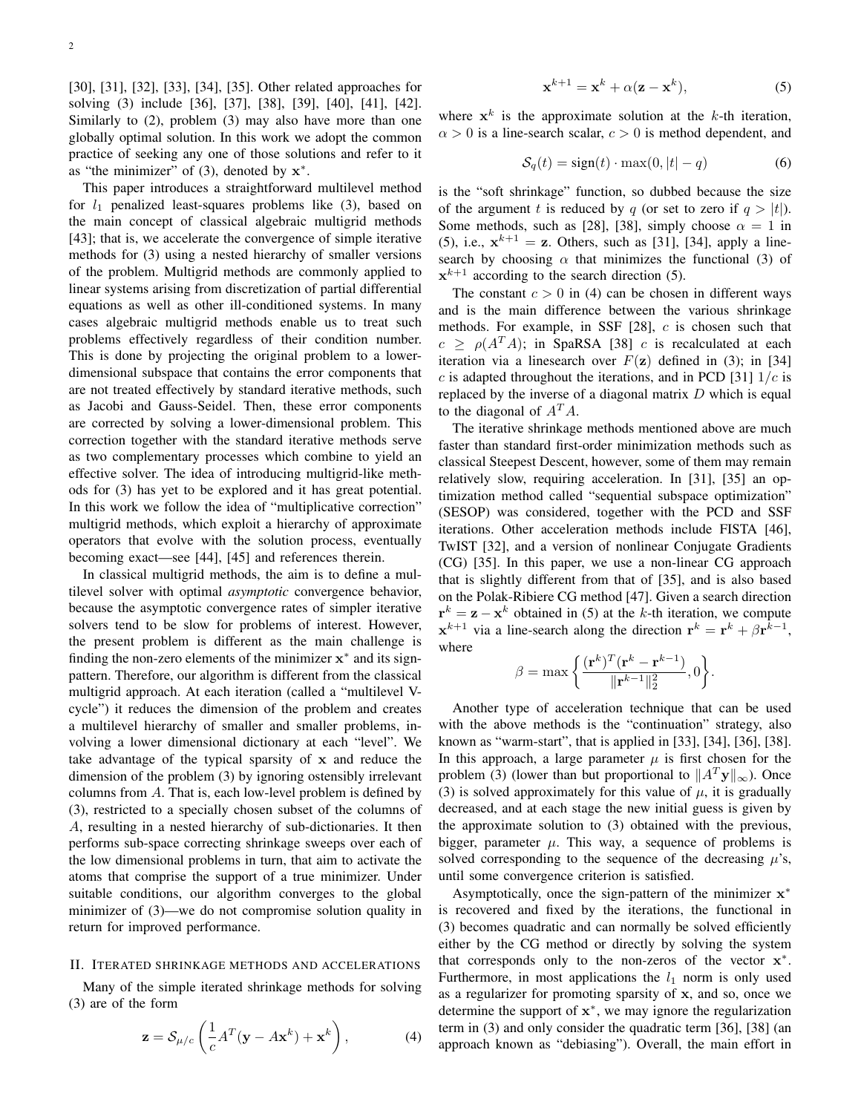[30], [31], [32], [33], [34], [35]. Other related approaches for solving (3) include [36], [37], [38], [39], [40], [41], [42]. Similarly to (2), problem (3) may also have more than one globally optimal solution. In this work we adopt the common practice of seeking any one of those solutions and refer to it as "the minimizer" of (3), denoted by **x** *∗* .

This paper introduces a straightforward multilevel method for  $l_1$  penalized least-squares problems like  $(3)$ , based on the main concept of classical algebraic multigrid methods [43]; that is, we accelerate the convergence of simple iterative methods for (3) using a nested hierarchy of smaller versions of the problem. Multigrid methods are commonly applied to linear systems arising from discretization of partial differential equations as well as other ill-conditioned systems. In many cases algebraic multigrid methods enable us to treat such problems effectively regardless of their condition number. This is done by projecting the original problem to a lowerdimensional subspace that contains the error components that are not treated effectively by standard iterative methods, such as Jacobi and Gauss-Seidel. Then, these error components are corrected by solving a lower-dimensional problem. This correction together with the standard iterative methods serve as two complementary processes which combine to yield an effective solver. The idea of introducing multigrid-like methods for (3) has yet to be explored and it has great potential. In this work we follow the idea of "multiplicative correction" multigrid methods, which exploit a hierarchy of approximate operators that evolve with the solution process, eventually becoming exact—see [44], [45] and references therein.

In classical multigrid methods, the aim is to define a multilevel solver with optimal *asymptotic* convergence behavior, because the asymptotic convergence rates of simpler iterative solvers tend to be slow for problems of interest. However, the present problem is different as the main challenge is finding the non-zero elements of the minimizer **x** *∗* and its signpattern. Therefore, our algorithm is different from the classical multigrid approach. At each iteration (called a "multilevel Vcycle") it reduces the dimension of the problem and creates a multilevel hierarchy of smaller and smaller problems, involving a lower dimensional dictionary at each "level". We take advantage of the typical sparsity of **x** and reduce the dimension of the problem (3) by ignoring ostensibly irrelevant columns from *A*. That is, each low-level problem is defined by (3), restricted to a specially chosen subset of the columns of *A*, resulting in a nested hierarchy of sub-dictionaries. It then performs sub-space correcting shrinkage sweeps over each of the low dimensional problems in turn, that aim to activate the atoms that comprise the support of a true minimizer. Under suitable conditions, our algorithm converges to the global minimizer of (3)—we do not compromise solution quality in return for improved performance.

# II. ITERATED SHRINKAGE METHODS AND ACCELERATIONS

Many of the simple iterated shrinkage methods for solving (3) are of the form

$$
\mathbf{z} = \mathcal{S}_{\mu/c} \left( \frac{1}{c} A^T (\mathbf{y} - A \mathbf{x}^k) + \mathbf{x}^k \right), \tag{4}
$$

$$
\mathbf{x}^{k+1} = \mathbf{x}^k + \alpha(\mathbf{z} - \mathbf{x}^k),\tag{5}
$$

where  $x^k$  is the approximate solution at the  $k$ -th iteration,  $\alpha > 0$  is a line-search scalar,  $c > 0$  is method dependent, and

$$
S_q(t) = sign(t) \cdot max(0, |t| - q)
$$
 (6)

is the "soft shrinkage" function, so dubbed because the size of the argument *t* is reduced by *q* (or set to zero if  $q > |t|$ ). Some methods, such as [28], [38], simply choose  $\alpha = 1$  in (5), i.e.,  $x^{k+1} = z$ . Others, such as [31], [34], apply a linesearch by choosing  $\alpha$  that minimizes the functional (3) of  $x^{k+1}$  according to the search direction (5).

The constant  $c > 0$  in (4) can be chosen in different ways and is the main difference between the various shrinkage methods. For example, in SSF [28], *c* is chosen such that  $c \ge \rho(A^T A)$ ; in SpaRSA [38] *c* is recalculated at each iteration via a linesearch over  $F(\mathbf{z})$  defined in (3); in [34] *c* is adapted throughout the iterations, and in PCD [31]  $1/c$  is replaced by the inverse of a diagonal matrix *D* which is equal to the diagonal of  $A^T A$ .

The iterative shrinkage methods mentioned above are much faster than standard first-order minimization methods such as classical Steepest Descent, however, some of them may remain relatively slow, requiring acceleration. In [31], [35] an optimization method called "sequential subspace optimization" (SESOP) was considered, together with the PCD and SSF iterations. Other acceleration methods include FISTA [46], TwIST [32], and a version of nonlinear Conjugate Gradients (CG) [35]. In this paper, we use a non-linear CG approach that is slightly different from that of [35], and is also based on the Polak-Ribiere CG method [47]. Given a search direction  $\mathbf{r}^k = \mathbf{z} - \mathbf{x}^k$  obtained in (5) at the *k*-th iteration, we compute  $\mathbf{x}^{k+1}$  via a line-search along the direction  $\mathbf{r}^k = \mathbf{r}^k + \beta \mathbf{r}^{k-1}$ , where

$$
\beta = \max \left\{ \frac{(\mathbf{r}^k)^T (\mathbf{r}^k - \mathbf{r}^{k-1})}{\|\mathbf{r}^{k-1}\|_2^2}, 0 \right\}.
$$

Another type of acceleration technique that can be used with the above methods is the "continuation" strategy, also known as "warm-start", that is applied in [33], [34], [36], [38]. In this approach, a large parameter  $\mu$  is first chosen for the problem (3) (lower than but proportional to  $||A^T y||_{\infty}$ ). Once (3) is solved approximately for this value of  $\mu$ , it is gradually decreased, and at each stage the new initial guess is given by the approximate solution to (3) obtained with the previous, bigger, parameter  $\mu$ . This way, a sequence of problems is solved corresponding to the sequence of the decreasing  $\mu$ 's, until some convergence criterion is satisfied.

Asymptotically, once the sign-pattern of the minimizer **x** *∗* is recovered and fixed by the iterations, the functional in (3) becomes quadratic and can normally be solved efficiently either by the CG method or directly by solving the system that corresponds only to the non-zeros of the vector **x** *∗* . Furthermore, in most applications the  $l_1$  norm is only used as a regularizer for promoting sparsity of **x**, and so, once we determine the support of **x** *∗* , we may ignore the regularization term in (3) and only consider the quadratic term [36], [38] (an approach known as "debiasing"). Overall, the main effort in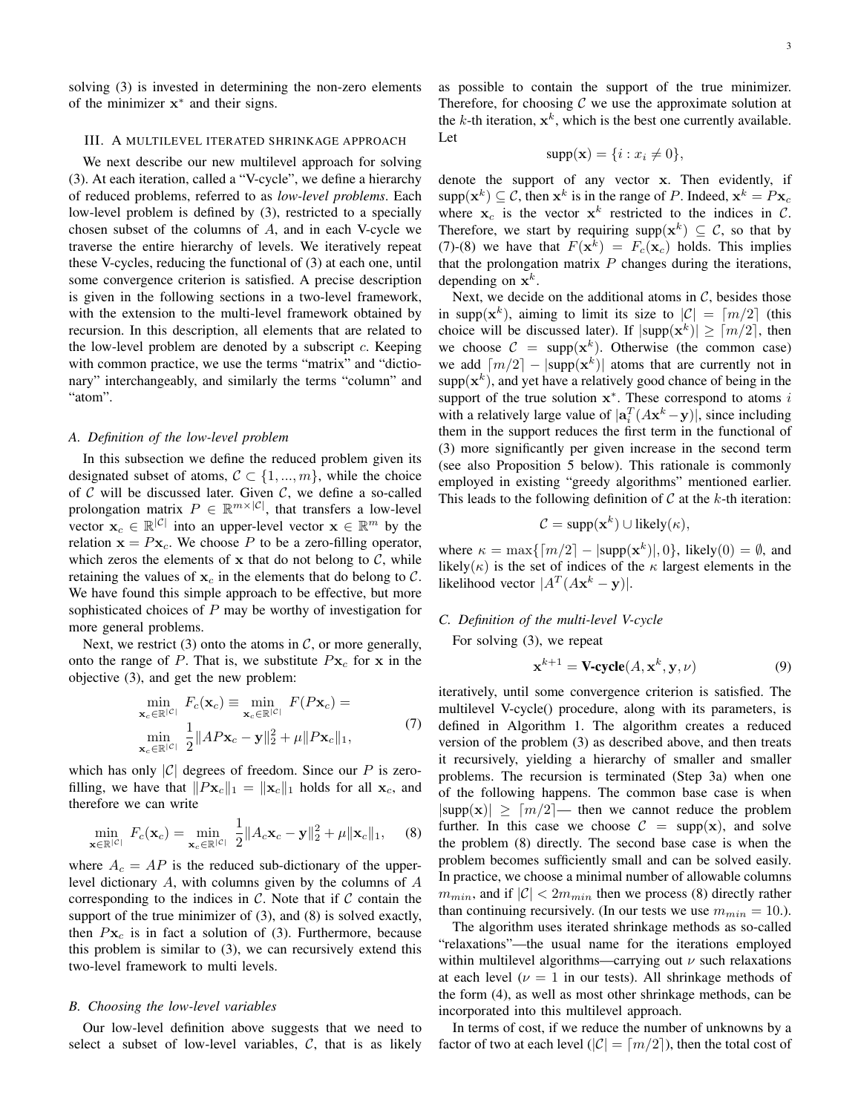solving (3) is invested in determining the non-zero elements of the minimizer **x** *∗* and their signs.

## III. A MULTILEVEL ITERATED SHRINKAGE APPROACH

We next describe our new multilevel approach for solving (3). At each iteration, called a "V-cycle", we define a hierarchy of reduced problems, referred to as *low-level problems*. Each low-level problem is defined by (3), restricted to a specially chosen subset of the columns of *A*, and in each V-cycle we traverse the entire hierarchy of levels. We iteratively repeat these V-cycles, reducing the functional of (3) at each one, until some convergence criterion is satisfied. A precise description is given in the following sections in a two-level framework, with the extension to the multi-level framework obtained by recursion. In this description, all elements that are related to the low-level problem are denoted by a subscript *c*. Keeping with common practice, we use the terms "matrix" and "dictionary" interchangeably, and similarly the terms "column" and "atom".

#### *A. Definition of the low-level problem*

In this subsection we define the reduced problem given its designated subset of atoms,  $C \subset \{1, ..., m\}$ , while the choice of *C* will be discussed later. Given *C*, we define a so-called prolongation matrix  $P \in \mathbb{R}^{m \times |\mathcal{C}|}$ , that transfers a low-level vector  $\mathbf{x}_c \in \mathbb{R}^{|\mathcal{C}|}$  into an upper-level vector  $\mathbf{x} \in \mathbb{R}^m$  by the relation  $\mathbf{x} = P\mathbf{x}_c$ . We choose P to be a zero-filling operator, which zeros the elements of  $x$  that do not belong to  $C$ , while retaining the values of  $\mathbf{x}_c$  in the elements that do belong to  $\mathcal{C}$ . We have found this simple approach to be effective, but more sophisticated choices of *P* may be worthy of investigation for more general problems.

Next, we restrict (3) onto the atoms in  $C$ , or more generally, onto the range of *P*. That is, we substitute  $P$ **x**<sub>c</sub> for **x** in the objective (3), and get the new problem:

$$
\min_{\mathbf{x}_c \in \mathbb{R}^{|\mathcal{C}|}} F_c(\mathbf{x}_c) \equiv \min_{\mathbf{x}_c \in \mathbb{R}^{|\mathcal{C}|}} F(P\mathbf{x}_c) =
$$
\n
$$
\min_{\mathbf{x}_c \in \mathbb{R}^{|\mathcal{C}|}} \frac{1}{2} \|AP\mathbf{x}_c - \mathbf{y}\|_2^2 + \mu \|Px_c\|_1,
$$
\n(7)

which has only  $|C|$  degrees of freedom. Since our P is zerofilling, we have that  $||Px_c||_1 = ||x_c||_1$  holds for all  $x_c$ , and therefore we can write

$$
\min_{\mathbf{x} \in \mathbb{R}^{|\mathcal{C}|}} F_c(\mathbf{x}_c) = \min_{\mathbf{x}_c \in \mathbb{R}^{|\mathcal{C}|}} \frac{1}{2} \|A_c \mathbf{x}_c - \mathbf{y}\|_2^2 + \mu \|\mathbf{x}_c\|_1, \quad (8)
$$

where  $A_c = AP$  is the reduced sub-dictionary of the upperlevel dictionary *A*, with columns given by the columns of *A* corresponding to the indices in  $C$ . Note that if  $C$  contain the support of the true minimizer of (3), and (8) is solved exactly, then  $P_{\mathbf{X}_c}$  is in fact a solution of (3). Furthermore, because this problem is similar to (3), we can recursively extend this two-level framework to multi levels.

# *B. Choosing the low-level variables*

Our low-level definition above suggests that we need to select a subset of low-level variables,  $C$ , that is as likely

as possible to contain the support of the true minimizer. Therefore, for choosing  $C$  we use the approximate solution at the  $k$ -th iteration,  $x^k$ , which is the best one currently available. Let

$$
supp(\mathbf{x}) = \{i : x_i \neq 0\},\
$$

denote the support of any vector **x**. Then evidently, if  $\sup p(\mathbf{x}^k) \subseteq C$ , then  $\mathbf{x}^k$  is in the range of *P*. Indeed,  $\mathbf{x}^k = P\mathbf{x}_c$ where  $x_c$  is the vector  $x^k$  restricted to the indices in C. Therefore, we start by requiring supp $(x^k) \subseteq C$ , so that by (7)-(8) we have that  $F(\mathbf{x}^k) = F_c(\mathbf{x}_c)$  holds. This implies that the prolongation matrix *P* changes during the iterations, depending on  $\mathbf{x}^k$ .

Next, we decide on the additional atoms in *C*, besides those in supp $(\mathbf{x}^k)$ , aiming to limit its size to  $|\mathcal{C}| = \lceil m/2 \rceil$  (this choice will be discussed later). If  $|\text{supp}(\mathbf{x}^k)| \geq \lceil m/2 \rceil$ , then we choose  $C = \text{supp}(\mathbf{x}^k)$ . Otherwise (the common case) we add  $\lceil m/2 \rceil - |\text{supp}(\mathbf{x}^k)|$  atoms that are currently not in  $supp(x^k)$ , and yet have a relatively good chance of being in the support of the true solution **x** *∗* . These correspond to atoms *i* with a relatively large value of  $|\mathbf{a}_i^T(A\mathbf{x}^k - \mathbf{y})|$ , since including them in the support reduces the first term in the functional of (3) more significantly per given increase in the second term (see also Proposition 5 below). This rationale is commonly employed in existing "greedy algorithms" mentioned earlier. This leads to the following definition of  $C$  at the  $k$ -th iteration:

$$
C = \text{supp}(\mathbf{x}^k) \cup \text{likely}(\kappa),
$$

where  $\kappa = \max\{ [m/2] - |\text{supp}(\mathbf{x}^k)|, 0 \}$ , likely $(0) = \emptyset$ , and likely( $\kappa$ ) is the set of indices of the  $\kappa$  largest elements in the likelihood vector  $|A^T(Ax^k - y)|$ .

# *C. Definition of the multi-level V-cycle*

For solving (3), we repeat

$$
\mathbf{x}^{k+1} = \mathbf{V}\text{-cycle}(A, \mathbf{x}^k, \mathbf{y}, \nu) \tag{9}
$$

iteratively, until some convergence criterion is satisfied. The multilevel V-cycle() procedure, along with its parameters, is defined in Algorithm 1. The algorithm creates a reduced version of the problem (3) as described above, and then treats it recursively, yielding a hierarchy of smaller and smaller problems. The recursion is terminated (Step 3a) when one of the following happens. The common base case is when  $|\text{supp}(\mathbf{x})| \geq \lceil m/2 \rceil$ — then we cannot reduce the problem further. In this case we choose  $C = \text{supp}(\mathbf{x})$ , and solve the problem (8) directly. The second base case is when the problem becomes sufficiently small and can be solved easily. In practice, we choose a minimal number of allowable columns  $m_{min}$ , and if  $|\mathcal{C}| < 2m_{min}$  then we process (8) directly rather than continuing recursively. (In our tests we use  $m_{min} = 10$ .).

The algorithm uses iterated shrinkage methods as so-called "relaxations"—the usual name for the iterations employed within multilevel algorithms—carrying out *ν* such relaxations at each level ( $\nu = 1$  in our tests). All shrinkage methods of the form (4), as well as most other shrinkage methods, can be incorporated into this multilevel approach.

In terms of cost, if we reduce the number of unknowns by a factor of two at each level  $(|C| = \lceil m/2 \rceil)$ , then the total cost of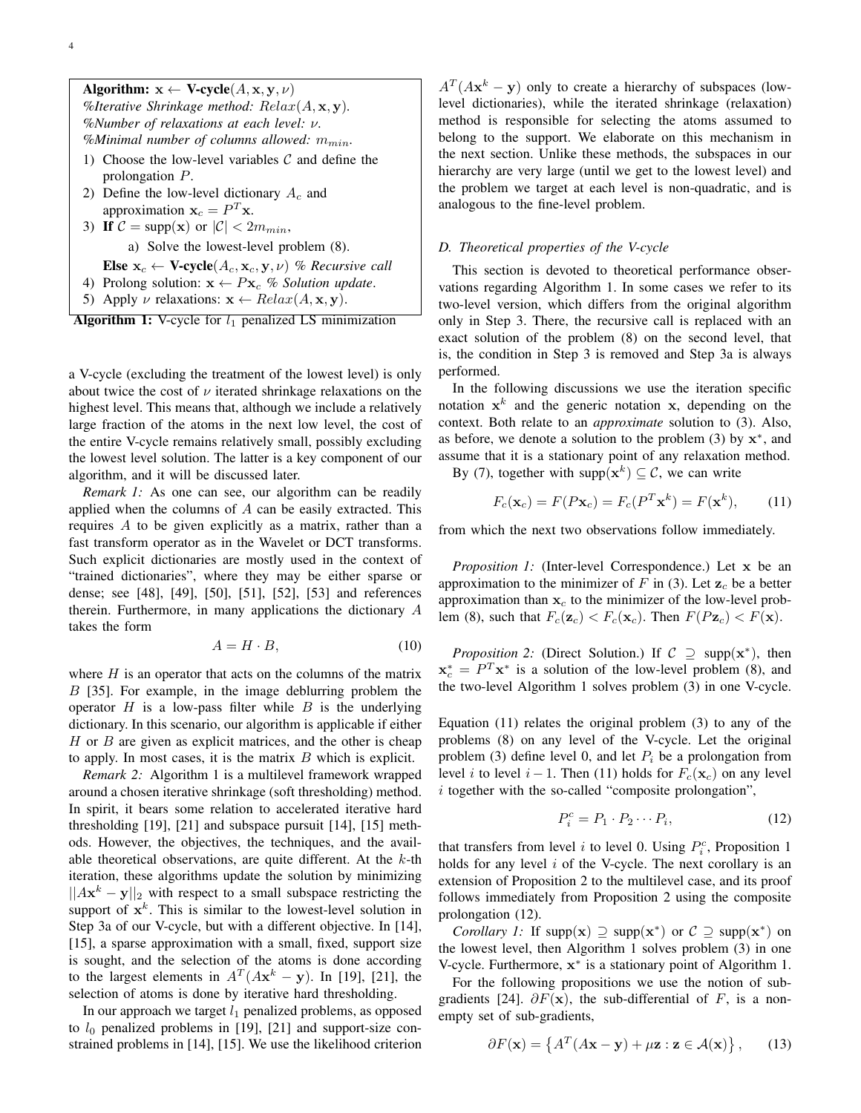Algorithm:  $x \leftarrow V\text{-cycle}(A, x, y, \nu)$ *%Iterative Shrinkage method: Relax*(*A,* **x***,* **y**)*. %Number of relaxations at each level: ν. %Minimal number of columns allowed: mmin.*

- 1) Choose the low-level variables *C* and define the prolongation *P*.
- 2) Define the low-level dictionary *A<sup>c</sup>* and approximation  $\mathbf{x}_c = P^T \mathbf{x}$ .
- 3) If  $C = \text{supp}(\mathbf{x})$  or  $|C| < 2m_{min}$ , a) Solve the lowest-level problem (8). Else  $\mathbf{x}_c \leftarrow \mathbf{V}\text{-cycle}(A_c, \mathbf{x}_c, \mathbf{y}, \nu)$  % Recursive call
- 4) Prolong solution:  $\mathbf{x} \leftarrow P\mathbf{x}_c$  % Solution update.
- 5) Apply  $\nu$  relaxations:  $\mathbf{x} \leftarrow Relax(A, \mathbf{x}, \mathbf{y})$ .
- **Algorithm 1:** V-cycle for  $l_1$  penalized LS minimization

a V-cycle (excluding the treatment of the lowest level) is only about twice the cost of  $\nu$  iterated shrinkage relaxations on the highest level. This means that, although we include a relatively large fraction of the atoms in the next low level, the cost of the entire V-cycle remains relatively small, possibly excluding the lowest level solution. The latter is a key component of our algorithm, and it will be discussed later.

*Remark 1:* As one can see, our algorithm can be readily applied when the columns of *A* can be easily extracted. This requires *A* to be given explicitly as a matrix, rather than a fast transform operator as in the Wavelet or DCT transforms. Such explicit dictionaries are mostly used in the context of "trained dictionaries", where they may be either sparse or dense; see [48], [49], [50], [51], [52], [53] and references therein. Furthermore, in many applications the dictionary *A* takes the form

$$
A = H \cdot B,\tag{10}
$$

where *H* is an operator that acts on the columns of the matrix *B* [35]. For example, in the image deblurring problem the operator *H* is a low-pass filter while *B* is the underlying dictionary. In this scenario, our algorithm is applicable if either *H* or *B* are given as explicit matrices, and the other is cheap to apply. In most cases, it is the matrix *B* which is explicit.

*Remark 2:* Algorithm 1 is a multilevel framework wrapped around a chosen iterative shrinkage (soft thresholding) method. In spirit, it bears some relation to accelerated iterative hard thresholding [19], [21] and subspace pursuit [14], [15] methods. However, the objectives, the techniques, and the available theoretical observations, are quite different. At the *k*-th iteration, these algorithms update the solution by minimizing *||A***x** *<sup>k</sup> −* **y***||*<sup>2</sup> with respect to a small subspace restricting the support of  $x^k$ . This is similar to the lowest-level solution in Step 3a of our V-cycle, but with a different objective. In [14], [15], a sparse approximation with a small, fixed, support size is sought, and the selection of the atoms is done according to the largest elements in  $A<sup>T</sup>(A\mathbf{x}^k - \mathbf{y})$ . In [19], [21], the selection of atoms is done by iterative hard thresholding.

In our approach we target  $l_1$  penalized problems, as opposed to  $l_0$  penalized problems in [19], [21] and support-size constrained problems in [14], [15]. We use the likelihood criterion

 $A<sup>T</sup>(A\mathbf{x}^k - \mathbf{y})$  only to create a hierarchy of subspaces (lowlevel dictionaries), while the iterated shrinkage (relaxation) method is responsible for selecting the atoms assumed to belong to the support. We elaborate on this mechanism in the next section. Unlike these methods, the subspaces in our hierarchy are very large (until we get to the lowest level) and the problem we target at each level is non-quadratic, and is analogous to the fine-level problem.

# *D. Theoretical properties of the V-cycle*

This section is devoted to theoretical performance observations regarding Algorithm 1. In some cases we refer to its two-level version, which differs from the original algorithm only in Step 3. There, the recursive call is replaced with an exact solution of the problem (8) on the second level, that is, the condition in Step 3 is removed and Step 3a is always performed.

In the following discussions we use the iteration specific notation  $x^k$  and the generic notation  $x$ , depending on the context. Both relate to an *approximate* solution to (3). Also, as before, we denote a solution to the problem (3) by **x** *∗* , and assume that it is a stationary point of any relaxation method.

By (7), together with  $\text{supp}(\mathbf{x}^k) \subseteq \mathcal{C}$ , we can write

$$
F_c(\mathbf{x}_c) = F(P\mathbf{x}_c) = F_c(P^T\mathbf{x}^k) = F(\mathbf{x}^k),\qquad(11)
$$

from which the next two observations follow immediately.

*Proposition 1:* (Inter-level Correspondence.) Let **x** be an approximation to the minimizer of  $F$  in (3). Let  $\mathbf{z}_c$  be a better approximation than  $x_c$  to the minimizer of the low-level problem (8), such that  $F_c(\mathbf{z}_c) < F_c(\mathbf{x}_c)$ . Then  $F(P\mathbf{z}_c) < F(\mathbf{x})$ .

*Proposition 2:* (Direct Solution.) If  $C \supseteq \text{supp}(\mathbf{x}^*)$ , then  $\mathbf{x}_c^* = P^T \mathbf{x}^*$  is a solution of the low-level problem (8), and the two-level Algorithm 1 solves problem (3) in one V-cycle.

Equation (11) relates the original problem (3) to any of the problems (8) on any level of the V-cycle. Let the original problem (3) define level 0, and let  $P_i$  be a prolongation from level *i* to level *i* − 1. Then (11) holds for  $F_c(\mathbf{x}_c)$  on any level *i* together with the so-called "composite prolongation",

$$
P_i^c = P_1 \cdot P_2 \cdots P_i,\tag{12}
$$

that transfers from level *i* to level 0. Using  $P_i^c$ , Proposition 1 holds for any level *i* of the V-cycle. The next corollary is an extension of Proposition 2 to the multilevel case, and its proof follows immediately from Proposition 2 using the composite prolongation (12).

*Corollary 1:* If  $supp(x) \supseteq supp(x^*)$  or  $C \supseteq supp(x^*)$  on the lowest level, then Algorithm 1 solves problem (3) in one V-cycle. Furthermore, **x** *∗* is a stationary point of Algorithm 1.

For the following propositions we use the notion of subgradients [24].  $\partial F(\mathbf{x})$ , the sub-differential of *F*, is a nonempty set of sub-gradients,

$$
\partial F(\mathbf{x}) = \left\{ A^T (A\mathbf{x} - \mathbf{y}) + \mu \mathbf{z} : \mathbf{z} \in \mathcal{A}(\mathbf{x}) \right\},\qquad(13)
$$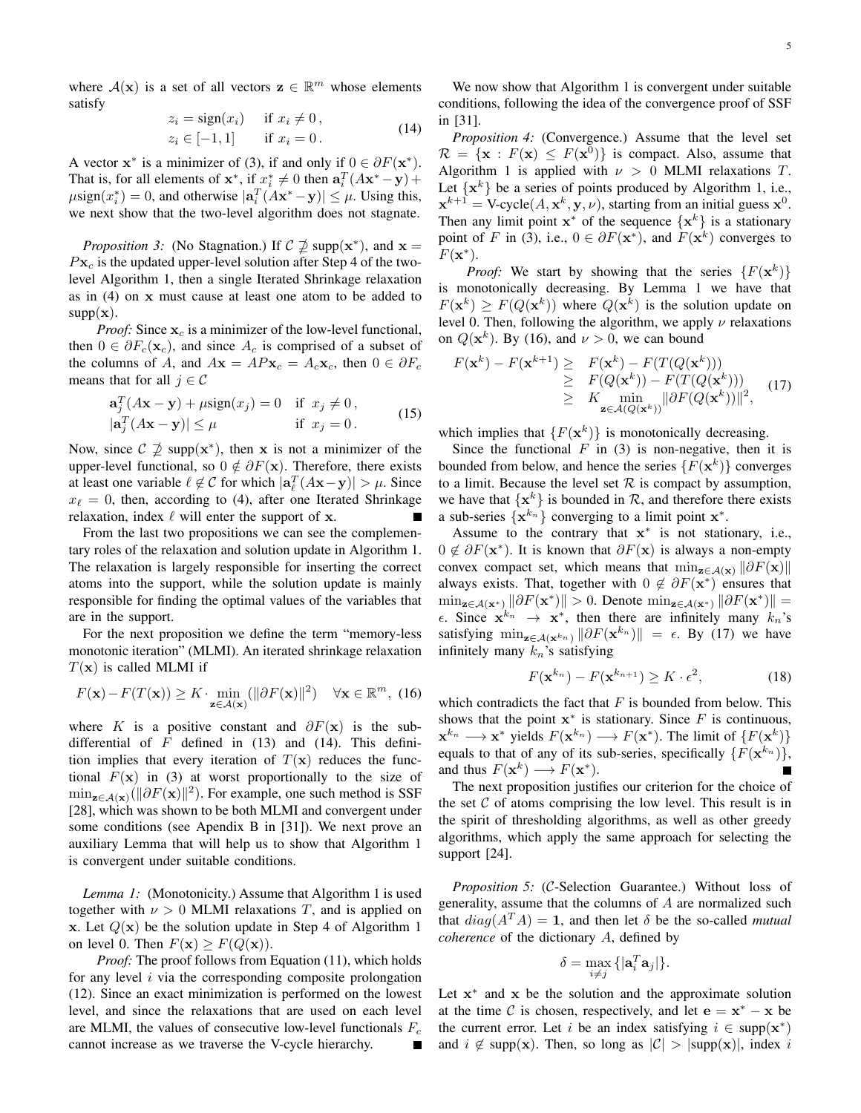$$
z_i = sign(x_i) \quad \text{if } x_i \neq 0,
$$
  
\n
$$
z_i \in [-1, 1] \quad \text{if } x_i = 0.
$$
 (14)

A vector  $\mathbf{x}^*$  is a minimizer of (3), if and only if  $0 \in \partial F(\mathbf{x}^*)$ . That is, for all elements of  $\mathbf{x}^*$ , if  $\mathbf{x}^*_{i} \neq 0$  then  $\mathbf{a}_i^T(A\mathbf{x}^* - \mathbf{y}) +$  $\mu$ sign $(x_i^*) = 0$ , and otherwise  $|\mathbf{a}_i^T(A\mathbf{x}^* - \mathbf{y})| \leq \mu$ . Using this, we next show that the two-level algorithm does not stagnate.

*Proposition 3:* (No Stagnation.) If  $C \nsubseteq \mathbb{Z}$  supp $(\mathbf{x}^*)$ , and  $\mathbf{x} =$  $P$ **x**<sub>c</sub> is the updated upper-level solution after Step 4 of the twolevel Algorithm 1, then a single Iterated Shrinkage relaxation as in (4) on **x** must cause at least one atom to be added to  $supp(x)$ .

*Proof:* Since **x***<sup>c</sup>* is a minimizer of the low-level functional, then  $0 \in \partial F_c(\mathbf{x}_c)$ , and since  $A_c$  is comprised of a subset of the columns of *A*, and  $A\mathbf{x} = AP\mathbf{x}_c = A_c\mathbf{x}_c$ , then  $0 \in \partial F_c$ means that for all  $j \in C$ 

$$
\mathbf{a}_j^T (A\mathbf{x} - \mathbf{y}) + \mu \text{sign}(x_j) = 0 \quad \text{if} \ \ x_j \neq 0,
$$
  

$$
|\mathbf{a}_j^T (A\mathbf{x} - \mathbf{y})| \le \mu \quad \text{if} \ \ x_j = 0.
$$
 (15)

Now, since  $C \nsupseteq \text{supp}(\mathbf{x}^*)$ , then **x** is not a minimizer of the upper-level functional, so  $0 \notin \partial F(\mathbf{x})$ . Therefore, there exists at least one variable  $\ell \notin C$  for which  $|\mathbf{a}_{\ell}^{T}(A\mathbf{x}-\mathbf{y})| > \mu$ . Since  $x_{\ell} = 0$ , then, according to (4), after one Iterated Shrinkage relaxation, index *ℓ* will enter the support of **x**. Ē

From the last two propositions we can see the complementary roles of the relaxation and solution update in Algorithm 1. The relaxation is largely responsible for inserting the correct atoms into the support, while the solution update is mainly responsible for finding the optimal values of the variables that are in the support.

For the next proposition we define the term "memory-less monotonic iteration" (MLMI). An iterated shrinkage relaxation *T*(**x**) is called MLMI if

$$
F(\mathbf{x}) - F(T(\mathbf{x})) \ge K \cdot \min_{\mathbf{z} \in \mathcal{A}(\mathbf{x})} (\|\partial F(\mathbf{x})\|^2) \quad \forall \mathbf{x} \in \mathbb{R}^m, (16)
$$

where *K* is a positive constant and  $\partial F(\mathbf{x})$  is the subdifferential of *F* defined in (13) and (14). This definition implies that every iteration of  $T(\mathbf{x})$  reduces the functional  $F(\mathbf{x})$  in (3) at worst proportionally to the size of  $\min_{\mathbf{z} \in \mathcal{A}(\mathbf{x})} (\|\partial F(\mathbf{x})\|^2)$ . For example, one such method is SSF [28], which was shown to be both MLMI and convergent under some conditions (see Apendix B in [31]). We next prove an auxiliary Lemma that will help us to show that Algorithm 1 is convergent under suitable conditions.

*Lemma 1:* (Monotonicity.) Assume that Algorithm 1 is used together with  $\nu > 0$  MLMI relaxations *T*, and is applied on **x**. Let  $Q(x)$  be the solution update in Step 4 of Algorithm 1 on level 0. Then  $F(\mathbf{x}) \geq F(Q(\mathbf{x}))$ .

*Proof:* The proof follows from Equation (11), which holds for any level *i* via the corresponding composite prolongation (12). Since an exact minimization is performed on the lowest level, and since the relaxations that are used on each level are MLMI, the values of consecutive low-level functionals *F<sup>c</sup>* cannot increase as we traverse the V-cycle hierarchy.

We now show that Algorithm 1 is convergent under suitable conditions, following the idea of the convergence proof of SSF in [31].

*Proposition 4:* (Convergence.) Assume that the level set  $\mathcal{R} = {\mathbf{x} : F(\mathbf{x}) \leq F(\mathbf{x}^0)}$  is compact. Also, assume that Algorithm 1 is applied with  $\nu > 0$  MLMI relaxations *T*. Let  $\{x^k\}$  be a series of points produced by Algorithm 1, i.e.,  $\mathbf{x}^{k+1} = \text{V-cycle}(A, \mathbf{x}^k, \mathbf{y}, \nu)$ , starting from an initial guess  $\mathbf{x}^0$ . Then any limit point  $x^*$  of the sequence  $\{x^k\}$  is a stationary point of *F* in (3), i.e.,  $0 \in \partial F(\mathbf{x}^*)$ , and  $F(\mathbf{x}^k)$  converges to *F*(**x** *∗* ).

*Proof:* We start by showing that the series  $\{F(\mathbf{x}^k)\}$ is monotonically decreasing. By Lemma 1 we have that  $F(\mathbf{x}^k) \geq F(Q(\mathbf{x}^k))$  where  $Q(\mathbf{x}^k)$  is the solution update on level 0. Then, following the algorithm, we apply *ν* relaxations on  $Q(\mathbf{x}^k)$ . By (16), and  $\nu > 0$ , we can bound

$$
F(\mathbf{x}^{k}) - F(\mathbf{x}^{k+1}) \geq F(\mathbf{x}^{k}) - F(T(Q(\mathbf{x}^{k})))
$$
  
\n
$$
\geq F(Q(\mathbf{x}^{k})) - F(T(Q(\mathbf{x}^{k})))
$$
  
\n
$$
\geq K \min_{\mathbf{z} \in \mathcal{A}(Q(\mathbf{x}^{k}))} ||\partial F(Q(\mathbf{x}^{k}))||^{2},
$$
 (17)

which implies that  ${F(\mathbf{x}^k)}$  is monotonically decreasing.

Since the functional  $F$  in (3) is non-negative, then it is bounded from below, and hence the series  $\{F(\mathbf{x}^k)\}\)$  converges to a limit. Because the level set  $R$  is compact by assumption, we have that  $\{x^k\}$  is bounded in  $\mathcal{R}$ , and therefore there exists a sub-series  $\{x^{k_n}\}\$  converging to a limit point  $x^*$ .

Assume to the contrary that **x** *∗* is not stationary, i.e., 0 *̸∈ ∂F*(**x** *∗* ). It is known that *∂F*(**x**) is always a non-empty convex compact set, which means that  $\min_{\mathbf{z} \in \mathcal{A}(\mathbf{x})} \|\partial F(\mathbf{x})\|$ always exists. That, together with  $0 \notin \partial F(\mathbf{x}^*)$  ensures that  $\min_{\mathbf{z}\in\mathcal{A}(\mathbf{x}^*)}$   $\|\partial F(\mathbf{x}^*)\| > 0$ . Denote  $\min_{\mathbf{z}\in\mathcal{A}(\mathbf{x}^*)}$   $\|\partial F(\mathbf{x}^*)\| = 0$  $\epsilon$ . Since  $\mathbf{x}^{k_n} \to \mathbf{x}^*$ , then there are infinitely many  $k_n$ 's satisfying  $\min_{\mathbf{z} \in \mathcal{A}(\mathbf{x}^{k_n})} \|\partial F(\mathbf{x}^{k_n})\| = \epsilon$ . By (17) we have infinitely many *kn*'s satisfying

$$
F(\mathbf{x}^{k_n}) - F(\mathbf{x}^{k_{n+1}}) \ge K \cdot \epsilon^2, \tag{18}
$$

which contradicts the fact that *F* is bounded from below. This shows that the point  $x^*$  is stationary. Since  $F$  is continuous,  $\mathbf{x}^{k_n} \longrightarrow \mathbf{x}^*$  yields  $F(\mathbf{x}^{k_n}) \longrightarrow F(\mathbf{x}^*)$ . The limit of  $\{F(\mathbf{x}^k)\}$ equals to that of any of its sub-series, specifically  $\{F(\mathbf{x}^{k_n})\}$ , and thus  $F(\mathbf{x}^k) \longrightarrow F(\mathbf{x}^*)$ .

The next proposition justifies our criterion for the choice of the set  $C$  of atoms comprising the low level. This result is in the spirit of thresholding algorithms, as well as other greedy algorithms, which apply the same approach for selecting the support [24].

*Proposition 5:* (*C*-Selection Guarantee.) Without loss of generality, assume that the columns of *A* are normalized such that  $diag(A^T A) = 1$ , and then let  $\delta$  be the so-called *mutual coherence* of the dictionary *A*, defined by

$$
\delta = \max_{i \neq j} \{|\mathbf{a}_i^T \mathbf{a}_j|\}.
$$

Let  $x^*$  and  $x$  be the solution and the approximate solution at the time C is chosen, respectively, and let  $e = x^* - x$  be the current error. Let *i* be an index satisfying  $i \in \text{supp}(\mathbf{x}^*)$ and  $i \notin \text{supp}(\mathbf{x})$ . Then, so long as  $|\mathcal{C}| > |\text{supp}(\mathbf{x})|$ , index *i*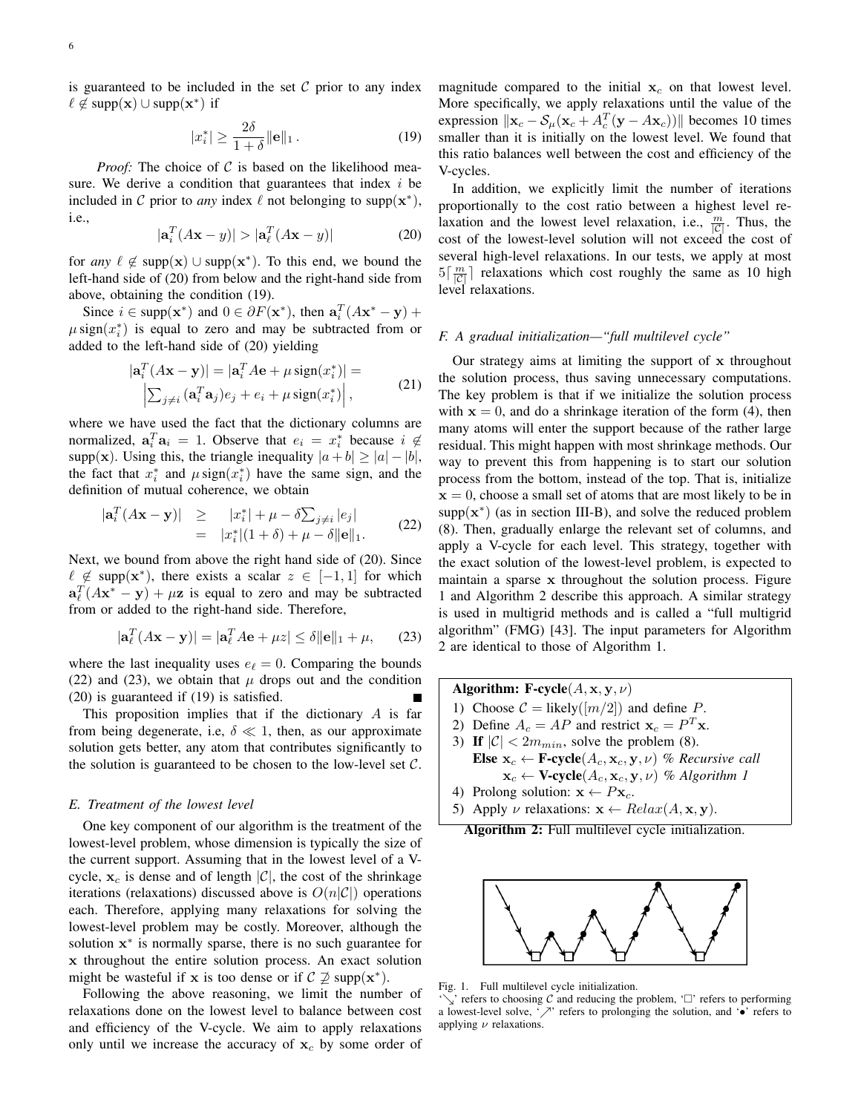$$
|x_i^*| \ge \frac{2\delta}{1+\delta} \|\mathbf{e}\|_1. \tag{19}
$$

*Proof:* The choice of C is based on the likelihood measure. We derive a condition that guarantees that index *i* be included in C prior to *any* index  $\ell$  not belonging to supp $(x^*)$ , i.e.,

$$
|\mathbf{a}_i^T(A\mathbf{x} - y)| > |\mathbf{a}_\ell^T(A\mathbf{x} - y)| \tag{20}
$$

for *any*  $\ell \notin \text{supp}(\mathbf{x}) \cup \text{supp}(\mathbf{x}^*)$ . To this end, we bound the left-hand side of (20) from below and the right-hand side from above, obtaining the condition (19).

Since  $i \in \text{supp}(\mathbf{x}^*)$  and  $0 \in \partial F(\mathbf{x}^*)$ , then  $\mathbf{a}_i^T(A\mathbf{x}^* - \mathbf{y}) + \partial F(A\mathbf{x}^*)$  $\mu$  sign( $x_i^*$ ) is equal to zero and may be subtracted from or added to the left-hand side of (20) yielding

$$
|\mathbf{a}_i^T(A\mathbf{x} - \mathbf{y})| = |\mathbf{a}_i^T A \mathbf{e} + \mu \operatorname{sign}(x_i^*)| =
$$
  

$$
\left| \sum_{j \neq i} (\mathbf{a}_i^T \mathbf{a}_j) e_j + e_i + \mu \operatorname{sign}(x_i^*) \right|,
$$
 (21)

where we have used the fact that the dictionary columns are normalized,  $\mathbf{a}_i^T \mathbf{a}_i = 1$ . Observe that  $e_i = x_i^*$  because  $i \notin$ supp(**x**). Using this, the triangle inequality  $|a + b| \ge |a| - |b|$ , the fact that  $x_i^*$  and  $\mu$  sign( $x_i^*$ ) have the same sign, and the definition of mutual coherence, we obtain

$$
|\mathbf{a}_i^T(A\mathbf{x} - \mathbf{y})| \ge |x_i^*| + \mu - \delta \sum_{j \ne i} |e_j|
$$
  
=  $|x_i^*|(1 + \delta) + \mu - \delta ||\mathbf{e}||_1.$  (22)

Next, we bound from above the right hand side of (20). Since  $\ell \notin \text{supp}(\mathbf{x}^*)$ , there exists a scalar  $z \in [-1,1]$  for which  $\mathbf{a}_{\ell}^T (A \mathbf{x}^* - \mathbf{y}) + \mu \mathbf{z}$  is equal to zero and may be subtracted from or added to the right-hand side. Therefore,

$$
|\mathbf{a}_{\ell}^{T}(A\mathbf{x} - \mathbf{y})| = |\mathbf{a}_{\ell}^{T} A \mathbf{e} + \mu z| \le \delta ||\mathbf{e}||_{1} + \mu,
$$
 (23)

where the last inequality uses  $e_\ell = 0$ . Comparing the bounds (22) and (23), we obtain that  $\mu$  drops out and the condition (20) is guaranteed if (19) is satisfied.

This proposition implies that if the dictionary *A* is far from being degenerate, i.e, *δ ≪* 1, then, as our approximate solution gets better, any atom that contributes significantly to the solution is guaranteed to be chosen to the low-level set *C*.

#### *E. Treatment of the lowest level*

One key component of our algorithm is the treatment of the lowest-level problem, whose dimension is typically the size of the current support. Assuming that in the lowest level of a Vcycle,  $x_c$  is dense and of length  $|\mathcal{C}|$ , the cost of the shrinkage iterations (relaxations) discussed above is *O*(*n|C|*) operations each. Therefore, applying many relaxations for solving the lowest-level problem may be costly. Moreover, although the solution **x** *∗* is normally sparse, there is no such guarantee for **x** throughout the entire solution process. An exact solution might be wasteful if **x** is too dense or if  $C \not\supseteq \text{supp}(\mathbf{x}^*)$ .

Following the above reasoning, we limit the number of relaxations done on the lowest level to balance between cost and efficiency of the V-cycle. We aim to apply relaxations only until we increase the accuracy of  $x_c$  by some order of magnitude compared to the initial  $x_c$  on that lowest level. More specifically, we apply relaxations until the value of the expression  $\|\mathbf{x}_c - \mathcal{S}_{\mu}(\mathbf{x}_c + A_c^T(\mathbf{y} - A\mathbf{x}_c))\|$  becomes 10 times smaller than it is initially on the lowest level. We found that this ratio balances well between the cost and efficiency of the V-cycles.

In addition, we explicitly limit the number of iterations proportionally to the cost ratio between a highest level relaxation and the lowest level relaxation, i.e.,  $\frac{m}{|C|}$ . Thus, the cost of the lowest-level solution will not exceed the cost of several high-level relaxations. In our tests, we apply at most  $5\left[\frac{m}{|C|}\right]$  relaxations which cost roughly the same as 10 high level relaxations.

## *F. A gradual initialization—"full multilevel cycle"*

Our strategy aims at limiting the support of **x** throughout the solution process, thus saving unnecessary computations. The key problem is that if we initialize the solution process with  $x = 0$ , and do a shrinkage iteration of the form (4), then many atoms will enter the support because of the rather large residual. This might happen with most shrinkage methods. Our way to prevent this from happening is to start our solution process from the bottom, instead of the top. That is, initialize  $x = 0$ , choose a small set of atoms that are most likely to be in  $supp(x^*)$  (as in section III-B), and solve the reduced problem (8). Then, gradually enlarge the relevant set of columns, and apply a V-cycle for each level. This strategy, together with the exact solution of the lowest-level problem, is expected to maintain a sparse **x** throughout the solution process. Figure 1 and Algorithm 2 describe this approach. A similar strategy is used in multigrid methods and is called a "full multigrid algorithm" (FMG) [43]. The input parameters for Algorithm 2 are identical to those of Algorithm 1.

Algorithm: F-cycle $(A, x, y, \nu)$ 1) Choose  $C =$  likely( $\lfloor m/2 \rfloor$ ) and define *P*. 2) Define  $A_c = AP$  and restrict  $\mathbf{x}_c = P^T \mathbf{x}$ .

- 3) If  $|\mathcal{C}| < 2m_{min}$ , solve the problem (8).
- Else  $\mathbf{x}_c \leftarrow \mathbf{F}\text{-cycle}(A_c, \mathbf{x}_c, \mathbf{y}, \nu)$  % Recursive call  $\mathbf{x}_c \leftarrow \mathbf{V}\text{-cycle}(A_c, \mathbf{x}_c, \mathbf{y}, \nu)$  % Algorithm 1
- 4) Prolong solution:  $\mathbf{x} \leftarrow P\mathbf{x}_c$ .
- 5) Apply  $\nu$  relaxations:  $\mathbf{x} \leftarrow Relax(A, \mathbf{x}, \mathbf{y})$ .
	- Algorithm 2: Full multilevel cycle initialization.



Fig. 1. Full multilevel cycle initialization.

'*↘*' refers to choosing *C* and reducing the problem, '' refers to performing a lowest-level solve, '*↗*' refers to prolonging the solution, and '*•*' refers to applying *ν* relaxations.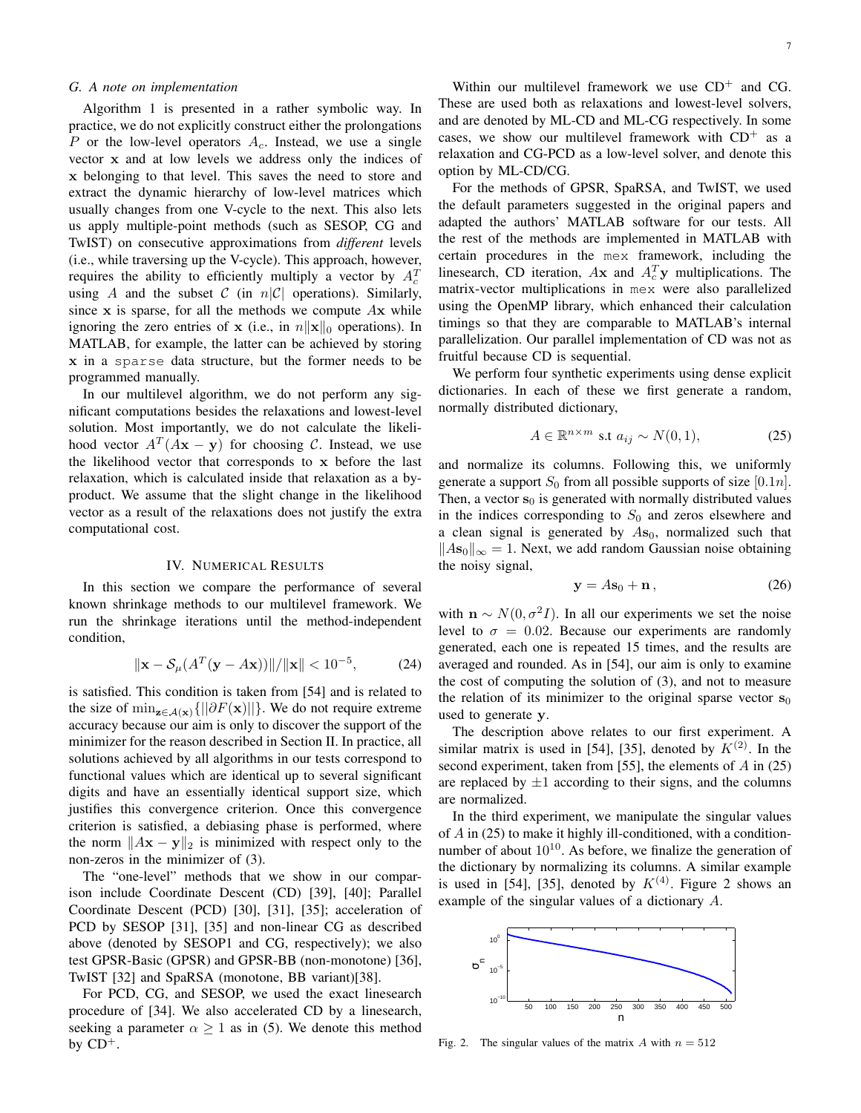## *G. A note on implementation*

Algorithm 1 is presented in a rather symbolic way. In practice, we do not explicitly construct either the prolongations *P* or the low-level operators *Ac*. Instead, we use a single vector **x** and at low levels we address only the indices of **x** belonging to that level. This saves the need to store and extract the dynamic hierarchy of low-level matrices which usually changes from one V-cycle to the next. This also lets us apply multiple-point methods (such as SESOP, CG and TwIST) on consecutive approximations from *different* levels (i.e., while traversing up the V-cycle). This approach, however, requires the ability to efficiently multiply a vector by  $A_c^T$ using *A* and the subset *C* (in  $n|C|$  operations). Similarly, since **x** is sparse, for all the methods we compute *A***x** while ignoring the zero entries of **x** (i.e., in *n∥***x***∥*<sup>0</sup> operations). In MATLAB, for example, the latter can be achieved by storing **x** in a sparse data structure, but the former needs to be programmed manually.

In our multilevel algorithm, we do not perform any significant computations besides the relaxations and lowest-level solution. Most importantly, we do not calculate the likelihood vector  $A<sup>T</sup>(A**x** – **y**)$  for choosing *C*. Instead, we use the likelihood vector that corresponds to **x** before the last relaxation, which is calculated inside that relaxation as a byproduct. We assume that the slight change in the likelihood vector as a result of the relaxations does not justify the extra computational cost.

#### IV. NUMERICAL RESULTS

In this section we compare the performance of several known shrinkage methods to our multilevel framework. We run the shrinkage iterations until the method-independent condition,

$$
\|\mathbf{x} - \mathcal{S}_{\mu}(A^T(\mathbf{y} - A\mathbf{x}))\| / \|\mathbf{x}\| < 10^{-5},
$$
 (24)

is satisfied. This condition is taken from [54] and is related to the size of  $\min_{\mathbf{z} \in \mathcal{A}(\mathbf{x})} \{||\partial F(\mathbf{x})||\}$ . We do not require extreme accuracy because our aim is only to discover the support of the minimizer for the reason described in Section II. In practice, all solutions achieved by all algorithms in our tests correspond to functional values which are identical up to several significant digits and have an essentially identical support size, which justifies this convergence criterion. Once this convergence criterion is satisfied, a debiasing phase is performed, where the norm  $||Ax - y||_2$  is minimized with respect only to the non-zeros in the minimizer of (3).

The "one-level" methods that we show in our comparison include Coordinate Descent (CD) [39], [40]; Parallel Coordinate Descent (PCD) [30], [31], [35]; acceleration of PCD by SESOP [31], [35] and non-linear CG as described above (denoted by SESOP1 and CG, respectively); we also test GPSR-Basic (GPSR) and GPSR-BB (non-monotone) [36], TwIST [32] and SpaRSA (monotone, BB variant)[38].

For PCD, CG, and SESOP, we used the exact linesearch procedure of [34]. We also accelerated CD by a linesearch, seeking a parameter  $\alpha \geq 1$  as in (5). We denote this method by  $CD^+$ .

Within our multilevel framework we use  $CD^+$  and CG. These are used both as relaxations and lowest-level solvers, and are denoted by ML-CD and ML-CG respectively. In some cases, we show our multilevel framework with  $CD^+$  as a relaxation and CG-PCD as a low-level solver, and denote this option by ML-CD/CG.

For the methods of GPSR, SpaRSA, and TwIST, we used the default parameters suggested in the original papers and adapted the authors' MATLAB software for our tests. All the rest of the methods are implemented in MATLAB with certain procedures in the mex framework, including the linesearch, CD iteration,  $A$ **x** and  $A_c^T$ **y** multiplications. The matrix-vector multiplications in mex were also parallelized using the OpenMP library, which enhanced their calculation timings so that they are comparable to MATLAB's internal parallelization. Our parallel implementation of CD was not as fruitful because CD is sequential.

We perform four synthetic experiments using dense explicit dictionaries. In each of these we first generate a random, normally distributed dictionary,

$$
A \in \mathbb{R}^{n \times m} \text{ s.t } a_{ij} \sim N(0, 1), \tag{25}
$$

and normalize its columns. Following this, we uniformly generate a support  $S_0$  from all possible supports of size [0.1*n*]. Then, a vector  $s_0$  is generated with normally distributed values in the indices corresponding to  $S_0$  and zeros elsewhere and a clean signal is generated by  $A\mathbf{s}_0$ , normalized such that *∥A***s**0*∥<sup>∞</sup>* = 1. Next, we add random Gaussian noise obtaining the noisy signal,

$$
y = As_0 + n, \tag{26}
$$

with  $\mathbf{n} \sim N(0, \sigma^2 I)$ . In all our experiments we set the noise level to  $\sigma = 0.02$ . Because our experiments are randomly generated, each one is repeated 15 times, and the results are averaged and rounded. As in [54], our aim is only to examine the cost of computing the solution of (3), and not to measure the relation of its minimizer to the original sparse vector  $\mathbf{s}_0$ used to generate **y**.

The description above relates to our first experiment. A similar matrix is used in [54], [35], denoted by  $K^{(2)}$ . In the second experiment, taken from [55], the elements of *A* in (25) are replaced by  $\pm 1$  according to their signs, and the columns are normalized.

In the third experiment, we manipulate the singular values of *A* in (25) to make it highly ill-conditioned, with a conditionnumber of about  $10^{10}$ . As before, we finalize the generation of the dictionary by normalizing its columns. A similar example is used in [54], [35], denoted by  $K^{(4)}$ . Figure 2 shows an example of the singular values of a dictionary *A*.



Fig. 2. The singular values of the matrix  $A$  with  $n = 512$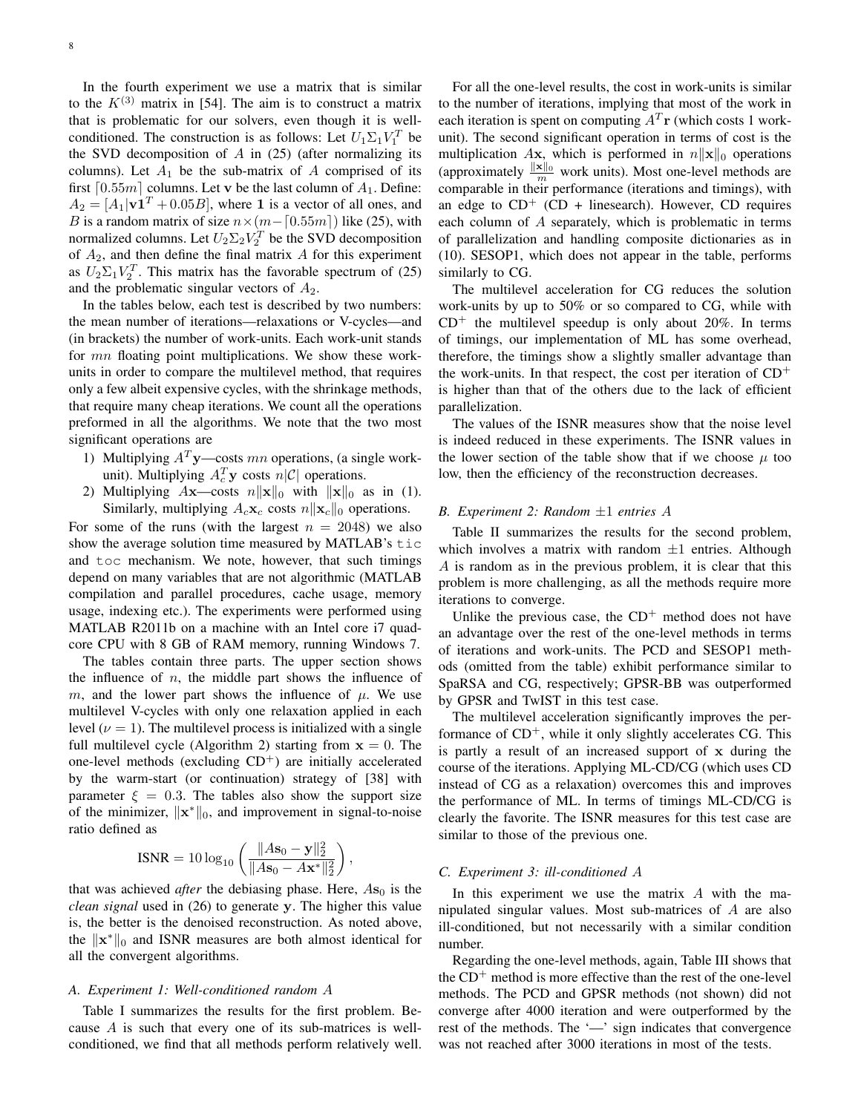In the fourth experiment we use a matrix that is similar to the  $K^{(3)}$  matrix in [54]. The aim is to construct a matrix that is problematic for our solvers, even though it is wellconditioned. The construction is as follows: Let  $U_1 \Sigma_1 V_1^T$  be the SVD decomposition of *A* in (25) (after normalizing its columns). Let  $A_1$  be the sub-matrix of  $A$  comprised of its first  $\lceil 0.55m \rceil$  columns. Let **v** be the last column of  $A_1$ . Define:  $A_2 = [A_1 | v1^T + 0.05B]$ , where 1 is a vector of all ones, and *B* is a random matrix of size  $n \times (m - [0.55m])$  like (25), with normalized columns. Let  $U_2 \Sigma_2 V_2^T$  be the SVD decomposition of *A*2, and then define the final matrix *A* for this experiment as  $U_2 \Sigma_1 V_2^T$ . This matrix has the favorable spectrum of (25) and the problematic singular vectors of  $A_2$ .

In the tables below, each test is described by two numbers: the mean number of iterations—relaxations or V-cycles—and (in brackets) the number of work-units. Each work-unit stands for *mn* floating point multiplications. We show these workunits in order to compare the multilevel method, that requires only a few albeit expensive cycles, with the shrinkage methods, that require many cheap iterations. We count all the operations preformed in all the algorithms. We note that the two most significant operations are

- 1) Multiplying *A<sup>T</sup>* **y**—costs *mn* operations, (a single workunit). Multiplying  $A_c^T$ **y** costs  $n|\mathcal{C}|$  operations.
- 2) Multiplying  $A$ **x**—costs  $n||\mathbf{x}||_0$  with  $||\mathbf{x}||_0$  as in (1). Similarly, multiplying  $A_c$ **x**<sub>*c*</sub> costs  $n||\mathbf{x}_c||_0$  operations.

For some of the runs (with the largest  $n = 2048$ ) we also show the average solution time measured by MATLAB's  $t$  ic and toc mechanism. We note, however, that such timings depend on many variables that are not algorithmic (MATLAB compilation and parallel procedures, cache usage, memory usage, indexing etc.). The experiments were performed using MATLAB R2011b on a machine with an Intel core i7 quadcore CPU with 8 GB of RAM memory, running Windows 7.

The tables contain three parts. The upper section shows the influence of *n*, the middle part shows the influence of *m*, and the lower part shows the influence of  $\mu$ . We use multilevel V-cycles with only one relaxation applied in each level  $(\nu = 1)$ . The multilevel process is initialized with a single full multilevel cycle (Algorithm 2) starting from  $x = 0$ . The one-level methods (excluding  $CD<sup>+</sup>$ ) are initially accelerated by the warm-start (or continuation) strategy of [38] with parameter  $\xi = 0.3$ . The tables also show the support size of the minimizer, *∥***x** *<sup>∗</sup>∥*0, and improvement in signal-to-noise ratio defined as

$$
\text{ISNR} = 10 \log_{10} \left( \frac{\|A\mathbf{s}_0 - \mathbf{y}\|_2^2}{\|A\mathbf{s}_0 - A\mathbf{x}^*\|_2^2} \right),
$$

that was achieved *after* the debiasing phase. Here,  $A\mathbf{s}_0$  is the *clean signal* used in (26) to generate **y**. The higher this value is, the better is the denoised reconstruction. As noted above, the *∥***x** *<sup>∗</sup>∥*<sup>0</sup> and ISNR measures are both almost identical for all the convergent algorithms.

## *A. Experiment 1: Well-conditioned random A*

Table I summarizes the results for the first problem. Because *A* is such that every one of its sub-matrices is wellconditioned, we find that all methods perform relatively well.

For all the one-level results, the cost in work-units is similar to the number of iterations, implying that most of the work in each iteration is spent on computing  $A<sup>T</sup>$ **r** (which costs 1 workunit). The second significant operation in terms of cost is the multiplication *A***x**, which is performed in  $n||\mathbf{x}||_0$  operations (approximately  $\frac{\|\mathbf{x}\|_0}{m}$  work units). Most one-level methods are comparable in their performance (iterations and timings), with an edge to  $CD^+$  (CD + linesearch). However, CD requires each column of *A* separately, which is problematic in terms of parallelization and handling composite dictionaries as in (10). SESOP1, which does not appear in the table, performs similarly to CG.

The multilevel acceleration for CG reduces the solution work-units by up to 50% or so compared to CG, while with  $CD^+$  the multilevel speedup is only about 20%. In terms of timings, our implementation of ML has some overhead, therefore, the timings show a slightly smaller advantage than the work-units. In that respect, the cost per iteration of  $CD<sup>+</sup>$ is higher than that of the others due to the lack of efficient parallelization.

The values of the ISNR measures show that the noise level is indeed reduced in these experiments. The ISNR values in the lower section of the table show that if we choose  $\mu$  too low, then the efficiency of the reconstruction decreases.

# *B. Experiment 2: Random ±*1 *entries A*

Table II summarizes the results for the second problem, which involves a matrix with random *±*1 entries. Although *A* is random as in the previous problem, it is clear that this problem is more challenging, as all the methods require more iterations to converge.

Unlike the previous case, the  $CD<sup>+</sup>$  method does not have an advantage over the rest of the one-level methods in terms of iterations and work-units. The PCD and SESOP1 methods (omitted from the table) exhibit performance similar to SpaRSA and CG, respectively; GPSR-BB was outperformed by GPSR and TwIST in this test case.

The multilevel acceleration significantly improves the performance of  $CD<sup>+</sup>$ , while it only slightly accelerates CG. This is partly a result of an increased support of **x** during the course of the iterations. Applying ML-CD/CG (which uses CD instead of CG as a relaxation) overcomes this and improves the performance of ML. In terms of timings ML-CD/CG is clearly the favorite. The ISNR measures for this test case are similar to those of the previous one.

#### *C. Experiment 3: ill-conditioned A*

In this experiment we use the matrix *A* with the manipulated singular values. Most sub-matrices of *A* are also ill-conditioned, but not necessarily with a similar condition number.

Regarding the one-level methods, again, Table III shows that the  $CD<sup>+</sup>$  method is more effective than the rest of the one-level methods. The PCD and GPSR methods (not shown) did not converge after 4000 iteration and were outperformed by the rest of the methods. The '—' sign indicates that convergence was not reached after 3000 iterations in most of the tests.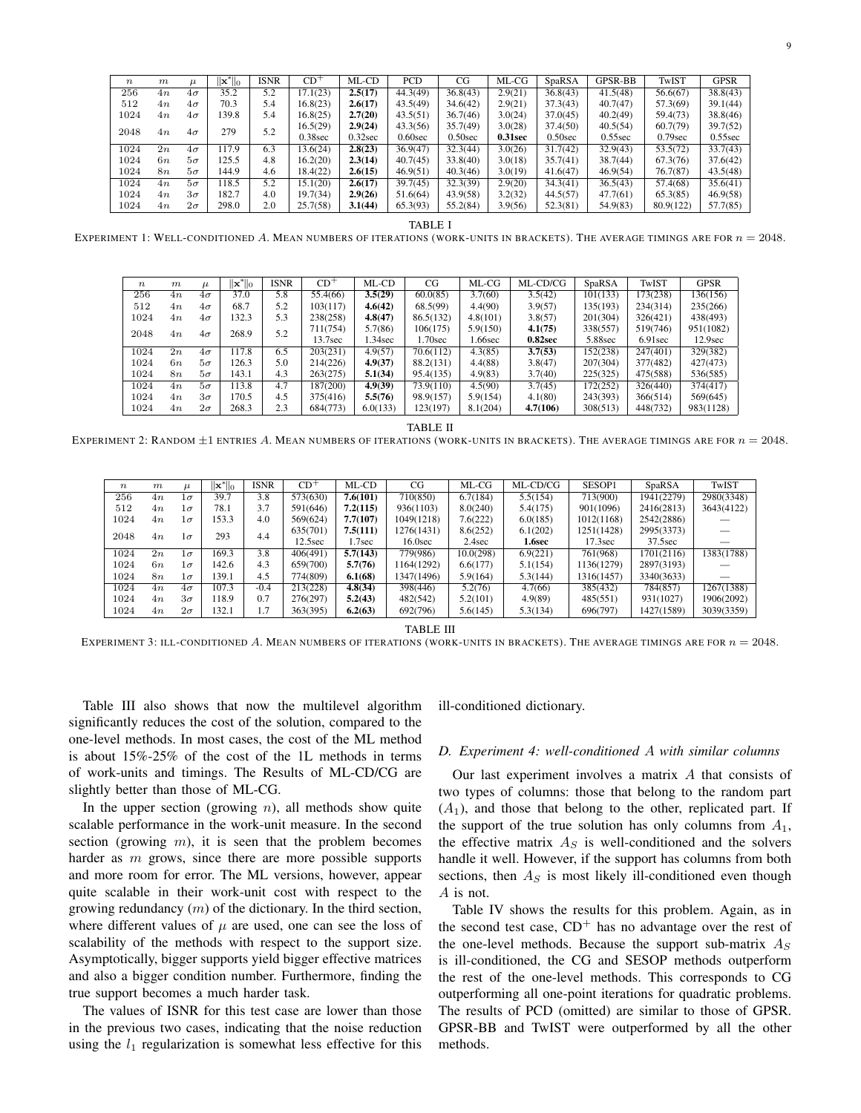| $\boldsymbol{n}$ | m   | u         | $\mathbf{x}^*$ $\ _0$ | <b>ISNR</b> | $CD^+$     | ML-CD      | PCD        | CG         | ML-CG   | SpaRSA     | GPSR-BB    | TwIST      | GPSR       |
|------------------|-----|-----------|-----------------------|-------------|------------|------------|------------|------------|---------|------------|------------|------------|------------|
| 256              | 4n  | $4\sigma$ | 35.2                  | 5.2         | 17.1(23)   | 2.5(17)    | 44.3(49)   | 36.8(43)   | 2.9(21) | 36.8(43)   | 41.5(48)   | 56.6(67)   | 38.8(43)   |
| 512              | 4n. | $4\sigma$ | 70.3                  | 5.4         | 16.8(23)   | 2.6(17)    | 43.5(49)   | 34.6(42)   | 2.9(21) | 37.3(43)   | 40.7(47)   | 57.3(69)   | 39.1(44)   |
| 1024             | 4п  | $4\sigma$ | 139.8                 | 5.4         | 16.8(25)   | 2.7(20)    | 43.5(51)   | 36.7(46)   | 3.0(24) | 37.0(45)   | 40.2(49)   | 59.4(73)   | 38.8(46)   |
| 2048<br>4n       |     |           | 279                   | 5.2         | 16.5(29)   | 2.9(24)    | 43.3(56)   | 35.7(49)   | 3.0(28) | 37.4(50)   | 40.5(54)   | 60,7(79)   | 39.7(52)   |
|                  |     | $4\sigma$ |                       |             | $0.38$ sec | $0.32$ sec | $0.60$ sec | $0.50$ sec | 0.31sec | $0.50$ sec | $0.55$ sec | $0.79$ sec | $0.55$ sec |
| 1024             | 2n  | $4\sigma$ | 17.9                  | 6.3         | 13.6(24)   | 2.8(23)    | 36.9(47)   | 32.3(44)   | 3.0(26) | 31.7(42)   | 32.9(43)   | 53.5(72)   | 33.7(43)   |
| 1024             | 6n  | $5\sigma$ | 125.5                 | 4.8         | 16.2(20)   | 2.3(14)    | 40.7(45)   | 33.8(40)   | 3.0(18) | 35.7(41)   | 38.7(44)   | 67.3(76)   | 37.6(42)   |
| 1024             | 8n  | $5\sigma$ | 144.9                 | 4.6         | 18.4(22)   | 2.6(15)    | 46.9(51)   | 40.3(46)   | 3.0(19) | 41.6(47)   | 46.9(54)   | 76.7(87)   | 43.5(48)   |
| 1024             | 4n. | $5\sigma$ | 18.5                  | 5.2         | 15.1(20)   | 2.6(17)    | 39.7(45)   | 32.3(39)   | 2.9(20) | 34.3(41)   | 36.5(43)   | 57.4(68)   | 35.6(41)   |
| 1024             | 4n  | $3\sigma$ | 182.7                 | 4.0         | 19.7(34)   | 2.9(26)    | 51.6(64)   | 43.9(58)   | 3.2(32) | 44.5(57)   | 47.7(61)   | 65.3(85)   | 46.9(58)   |
| 1024             | 4п  | $2\sigma$ | 298.0                 | 2.0         | 25.7(58)   | 3.1(44)    | 65.3(93)   | 55.2(84)   | 3.9(56) | 52.3(81)   | 54.9(83)   | 80.9(122)  | 57.7(85)   |

TABLE I EXPERIMENT 1: WELL-CONDITIONED *A*. MEAN NUMBERS OF ITERATIONS (WORK-UNITS IN BRACKETS). THE AVERAGE TIMINGS ARE FOR *n* = 2048.

| $\boldsymbol{n}$ | m  | u         | $\mathbf{ x}^*  _0$ | <b>ISNR</b> | $CD+$               | ML-CD    | CG        | ML-CG    | ML-CD/CG | SpaRSA   | TwIST      | <b>GPSR</b>         |
|------------------|----|-----------|---------------------|-------------|---------------------|----------|-----------|----------|----------|----------|------------|---------------------|
| 256              | 4n | $4\sigma$ | 37.0                | 5.8         | 55.4(66)            | 3.5(29)  | 60.0(85)  | 3.7(60)  | 3.5(42)  | 101(133) | (73(238))  | 136(156)            |
| 512              | 4n | $4\sigma$ | 68.7                | 5.2         | 103(117)            | 4.6(42)  | 68.5(99)  | 4.4(90)  | 3.9(57)  | 135(193) | 234(314)   | 235(266)            |
| 1024             | 4n | $4\sigma$ | 132.3               | 5.3         | 238(258)            | 4.8(47)  | 86.5(132) | 4.8(101) | 3.8(57)  | 201(304) | 326(421)   | 438(493)            |
| 2048             | 4n | $4\sigma$ | 268.9               | 5.2         | 711(754)            | 5.7(86)  | 106(175)  | 5.9(150) | 4.1(75)  | 338(557) | 519(746)   | 951(1082)           |
|                  |    |           |                     |             | 13.7 <sub>sec</sub> | 1.34sec  | 1.70sec   | .66sec   | 0.82sec  | 5.88sec  | $6.91$ sec | 12.9 <sub>sec</sub> |
| 1024             | 2n | $4\sigma$ | 117.8               | 6.5         | 203(231)            | 4.9(57)  | 70.6(112) | 4.3(85)  | 3.7(53)  | 152(238) | 247(401)   | 329(382)            |
| 1024             | 6n | $5\sigma$ | 126.3               | 5.0         | 214(226)            | 4.9(37)  | 88.2(131) | 4.4(88)  | 3.8(47)  | 207(304) | 377(482)   | 427(473)            |
| 1024             | 8n | $5\sigma$ | 143.1               | 4.3         | 263(275)            | 5.1(34)  | 95.4(135) | 4.9(83)  | 3.7(40)  | 225(325) | 475(588)   | 536(585)            |
| 1024             | 4n | $5\sigma$ | 113.8               | 4.7         | 187(200)            | 4.9(39)  | 73.9(110) | 4.5(90)  | 3.7(45)  | 172(252) | 326(440)   | 374(417)            |
| 1024             | 4n | $3\sigma$ | 170.5               | 4.5         | 375(416)            | 5.5(76)  | 98.9(157) | 5.9(154) | 4.1(80)  | 243(393) | 366(514)   | 569(645)            |
| 1024             | 4n | $2\sigma$ | 268.3               | 2.3         | 684(773)            | 6.0(133) | 123(197)  | 8.1(204) | 4.7(106) | 308(513) | 448(732)   | 983(1128)           |

TABLE II

EXPERIMENT 2: RANDOM *±*1 ENTRIES *A*. MEAN NUMBERS OF ITERATIONS (WORK-UNITS IN BRACKETS). THE AVERAGE TIMINGS ARE FOR *n* = 2048.

| $\boldsymbol{n}$ | m  | $\mu$     | $\ \mathbf{x}^*\ _0$ | <b>ISNR</b> | $CD+$    | ML-CD    | CG         | ML-CG     | ML-CD/CG | SESOP1              | SpaRSA     | TwIST      |
|------------------|----|-----------|----------------------|-------------|----------|----------|------------|-----------|----------|---------------------|------------|------------|
| 256              | 4n | $1\sigma$ | 39.7                 | 3.8         | 573(630) | 7.6(101) | 710(850)   | 6.7(184)  | 5.5(154) | 713(900)            | 1941(2279) | 2980(3348) |
| 512              | 4n | $1\sigma$ | 78.1                 | 3.7         | 591(646) | 7.2(115) | 936(1103)  | 8.0(240)  | 5.4(175) | 901(1096)           | 2416(2813) | 3643(4122) |
| 1024             | 4n | $1\sigma$ | 153.3                | 4.0         | 569(624) | 7.7(107) | 1049(1218) | 7.6(222)  | 6.0(185) | 1012(1168)          | 2542(2886) |            |
| 2048             |    | Iσ        | 293                  | 4.4         | 635(701) | 7.5(111) | 1276(1431) | 8.6(252)  | 6.1(202) | 1251(1428)          | 2995(3373) |            |
|                  | 4n |           |                      |             | 12.5sec  | 1.7sec   | $16.0$ sec | $2.4$ sec | 1.6sec   | 17.3 <sub>sec</sub> | 37.5sec    |            |
| 1024             | 2n | $1\sigma$ | 169.3                | 3.8         | 406(491) | 5.7(143) | 779(986)   | 10.0(298) | 6.9(221) | 761(968)            | 1701(2116) | 1383(1788) |
| 1024             | 6n | $1\sigma$ | 142.6                | 4.3         | 659(700) | 5.7(76)  | 1164(1292) | 6.6(177)  | 5.1(154) | 1136(1279)          | 2897(3193) |            |
| 1024             | 8n | $1\sigma$ | 139.1                | 4.5         | 774(809) | 6.1(68)  | 1347(1496) | 5.9(164)  | 5.3(144) | 1316(1457)          | 3340(3633) |            |
| 1024             | 4n | $4\sigma$ | 107.3                | $-0.4$      | 213(228) | 4.8(34)  | 398(446)   | 5.2(76)   | 4.7(66)  | 385(432)            | 784(857)   | 1267(1388) |
| 1024             | 4n | $3\sigma$ | 18.9                 | 0.7         | 276(297) | 5.2(43)  | 482(542)   | 5.2(101)  | 4.9(89)  | 485(551)            | 931(1027)  | 1906(2092) |
| 1024             | 4n | $2\sigma$ | 132.1                | 1.7         | 363(395) | 6.2(63)  | 692(796)   | 5.6(145)  | 5.3(134) | 696(797)            | 1427(1589) | 3039(3359) |

TABLE III

EXPERIMENT 3: ILL-CONDITIONED *A*. MEAN NUMBERS OF ITERATIONS (WORK-UNITS IN BRACKETS). THE AVERAGE TIMINGS ARE FOR *n* = 2048.

Table III also shows that now the multilevel algorithm significantly reduces the cost of the solution, compared to the one-level methods. In most cases, the cost of the ML method is about 15%-25% of the cost of the 1L methods in terms of work-units and timings. The Results of ML-CD/CG are slightly better than those of ML-CG.

In the upper section (growing *n*), all methods show quite scalable performance in the work-unit measure. In the second section (growing *m*), it is seen that the problem becomes harder as *m* grows, since there are more possible supports and more room for error. The ML versions, however, appear quite scalable in their work-unit cost with respect to the growing redundancy (*m*) of the dictionary. In the third section, where different values of  $\mu$  are used, one can see the loss of scalability of the methods with respect to the support size. Asymptotically, bigger supports yield bigger effective matrices and also a bigger condition number. Furthermore, finding the true support becomes a much harder task.

The values of ISNR for this test case are lower than those in the previous two cases, indicating that the noise reduction using the  $l_1$  regularization is somewhat less effective for this ill-conditioned dictionary.

#### *D. Experiment 4: well-conditioned A with similar columns*

Our last experiment involves a matrix *A* that consists of two types of columns: those that belong to the random part  $(A_1)$ , and those that belong to the other, replicated part. If the support of the true solution has only columns from  $A_1$ , the effective matrix  $A<sub>S</sub>$  is well-conditioned and the solvers handle it well. However, if the support has columns from both sections, then *A<sup>S</sup>* is most likely ill-conditioned even though *A* is not.

Table IV shows the results for this problem. Again, as in the second test case,  $CD<sup>+</sup>$  has no advantage over the rest of the one-level methods. Because the support sub-matrix *A<sup>S</sup>* is ill-conditioned, the CG and SESOP methods outperform the rest of the one-level methods. This corresponds to CG outperforming all one-point iterations for quadratic problems. The results of PCD (omitted) are similar to those of GPSR. GPSR-BB and TwIST were outperformed by all the other methods.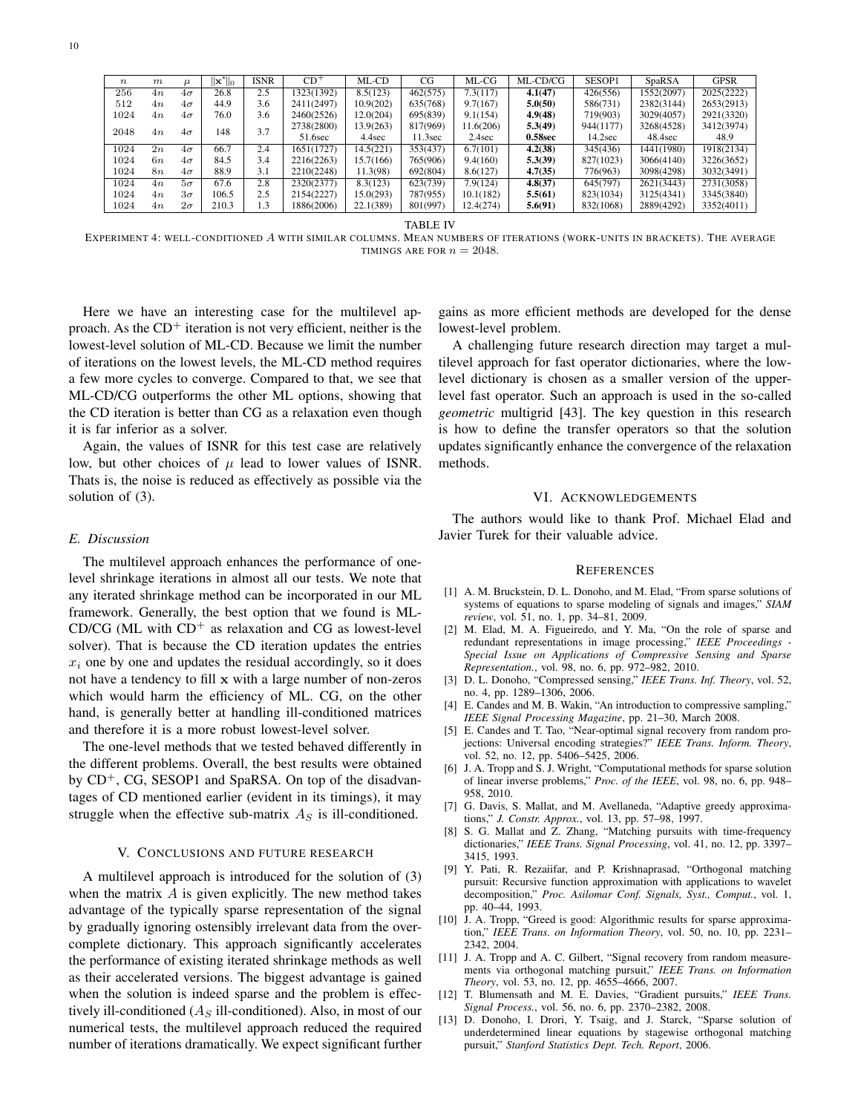| $\boldsymbol{n}$ | $\boldsymbol{m}$ | u         | $\mathbf{x}^*$ lo | <b>ISNR</b> | $CD^+$     | ML-CD     | CG       | $ML-CG$   | ML-CD/CG | SESOP1    | SpaRSA     | <b>GPSR</b> |
|------------------|------------------|-----------|-------------------|-------------|------------|-----------|----------|-----------|----------|-----------|------------|-------------|
| 256              | 4n               | $4\sigma$ | 26.8              | 2.5         | 1323(1392) | 8.5(123)  | 462(575) | 7.3(117)  | 4.1(47)  | 426(556)  | 1552(2097) | 2025(2222)  |
| 512              | 4n               | $4\sigma$ | 44.9              | 3.6         | 2411(2497) | 10.9(202) | 635(768) | 9.7(167)  | 5.0(50)  | 586(731)  | 2382(3144) | 2653(2913)  |
| 1024             | 4n               | $4\sigma$ | 76.0              | 3.6         | 2460(2526) | 12.0(204) | 695(839) | 9.1(154)  | 4.9(48)  | 719(903)  | 3029(4057) | 2921(3320)  |
|                  |                  |           | 148               | 3.7         | 2738(2800) | 13.9(263) | 817(969) | 11.6(206) | 5.3(49)  | 944(1177) | 3268(4528) | 3412(3974)  |
| 2048             | 4n               | $4\sigma$ |                   |             | 51.6sec    | 4.4sec    | 11.3sec  | $2.4$ sec | 0.58sec  | 14.2sec   | 48.4sec    | 48.9        |
| 1024             | 2n               | $4\sigma$ | 66.7              | 2.4         | 1651(1727) | 14.5(221) | 353(437) | 6.7(101)  | 4.2(38)  | 345(436)  | 1441(1980) | 1918(2134)  |
| 1024             | 6n               | $4\sigma$ | 84.5              | 3.4         | 2216(2263) | 15.7(166) | 765(906) | 9.4(160)  | 5.3(39)  | 827(1023) | 3066(4140) | 3226(3652)  |
| 1024             | 8n               | $4\sigma$ | 88.9              | 3.1         | 2210(2248) | 11.3(98)  | 692(804) | 8.6(127)  | 4.7(35)  | 776(963)  | 3098(4298) | 3032(3491)  |
| 1024             | 4n               | $5\sigma$ | 67.6              | 2.8         | 2320(2377) | 8.3(123)  | 623(739) | 7.9(124)  | 4.8(37)  | 645(797)  | 2621(3443) | 2731(3058)  |
| 1024             | 4n               | $3\sigma$ | 106.5             | 2.5         | 2154(2227) | 15.0(293) | 787(955) | 10.1(182) | 5.5(61)  | 823(1034) | 3125(4341) | 3345(3840)  |
| 1024             | 4n               | $2\sigma$ | 210.3             | 1.3         | 1886(2006) | 22.1(389) | 801(997) | 12.4(274) | 5.6(91)  | 832(1068) | 2889(4292) | 3352(4011)  |

TABLE IV

EXPERIMENT 4: WELL-CONDITIONED *A* WITH SIMILAR COLUMNS. MEAN NUMBERS OF ITERATIONS (WORK-UNITS IN BRACKETS). THE AVERAGE TIMINGS ARE FOR  $n = 2048$ .

Here we have an interesting case for the multilevel approach. As the  $CD<sup>+</sup>$  iteration is not very efficient, neither is the lowest-level solution of ML-CD. Because we limit the number of iterations on the lowest levels, the ML-CD method requires a few more cycles to converge. Compared to that, we see that ML-CD/CG outperforms the other ML options, showing that the CD iteration is better than CG as a relaxation even though it is far inferior as a solver.

Again, the values of ISNR for this test case are relatively low, but other choices of  $\mu$  lead to lower values of ISNR. Thats is, the noise is reduced as effectively as possible via the solution of (3).

#### *E. Discussion*

The multilevel approach enhances the performance of onelevel shrinkage iterations in almost all our tests. We note that any iterated shrinkage method can be incorporated in our ML framework. Generally, the best option that we found is ML-CD/CG (ML with  $CD<sup>+</sup>$  as relaxation and CG as lowest-level solver). That is because the CD iteration updates the entries  $x_i$  one by one and updates the residual accordingly, so it does not have a tendency to fill **x** with a large number of non-zeros which would harm the efficiency of ML. CG, on the other hand, is generally better at handling ill-conditioned matrices and therefore it is a more robust lowest-level solver.

The one-level methods that we tested behaved differently in the different problems. Overall, the best results were obtained by  $CD^+$ , CG, SESOP1 and SpaRSA. On top of the disadvantages of CD mentioned earlier (evident in its timings), it may struggle when the effective sub-matrix  $A<sub>S</sub>$  is ill-conditioned.

## V. CONCLUSIONS AND FUTURE RESEARCH

A multilevel approach is introduced for the solution of (3) when the matrix *A* is given explicitly. The new method takes advantage of the typically sparse representation of the signal by gradually ignoring ostensibly irrelevant data from the overcomplete dictionary. This approach significantly accelerates the performance of existing iterated shrinkage methods as well as their accelerated versions. The biggest advantage is gained when the solution is indeed sparse and the problem is effectively ill-conditioned (*A<sup>S</sup>* ill-conditioned). Also, in most of our numerical tests, the multilevel approach reduced the required number of iterations dramatically. We expect significant further

gains as more efficient methods are developed for the dense lowest-level problem.

A challenging future research direction may target a multilevel approach for fast operator dictionaries, where the lowlevel dictionary is chosen as a smaller version of the upperlevel fast operator. Such an approach is used in the so-called *geometric* multigrid [43]. The key question in this research is how to define the transfer operators so that the solution updates significantly enhance the convergence of the relaxation methods.

#### VI. ACKNOWLEDGEMENTS

The authors would like to thank Prof. Michael Elad and Javier Turek for their valuable advice.

#### **REFERENCES**

- [1] A. M. Bruckstein, D. L. Donoho, and M. Elad, "From sparse solutions of systems of equations to sparse modeling of signals and images," *SIAM review*, vol. 51, no. 1, pp. 34–81, 2009.
- [2] M. Elad, M. A. Figueiredo, and Y. Ma, "On the role of sparse and redundant representations in image processing," *IEEE Proceedings - Special Issue on Applications of Compressive Sensing and Sparse Representation.*, vol. 98, no. 6, pp. 972–982, 2010.
- [3] D. L. Donoho, "Compressed sensing," *IEEE Trans. Inf. Theory*, vol. 52, no. 4, pp. 1289–1306, 2006.
- [4] E. Candes and M. B. Wakin, "An introduction to compressive sampling," *IEEE Signal Processing Magazine*, pp. 21–30, March 2008.
- [5] E. Candes and T. Tao, "Near-optimal signal recovery from random projections: Universal encoding strategies?" *IEEE Trans. Inform. Theory*, vol. 52, no. 12, pp. 5406–5425, 2006.
- [6] J. A. Tropp and S. J. Wright, "Computational methods for sparse solution of linear inverse problems," *Proc. of the IEEE*, vol. 98, no. 6, pp. 948– 958, 2010.
- [7] G. Davis, S. Mallat, and M. Avellaneda, "Adaptive greedy approximations," *J. Constr. Approx.*, vol. 13, pp. 57–98, 1997.
- [8] S. G. Mallat and Z. Zhang, "Matching pursuits with time-frequency dictionaries," *IEEE Trans. Signal Processing*, vol. 41, no. 12, pp. 3397– 3415, 1993.
- [9] Y. Pati, R. Rezaiifar, and P. Krishnaprasad, "Orthogonal matching pursuit: Recursive function approximation with applications to wavelet decomposition," *Proc. Asilomar Conf. Signals, Syst., Comput.*, vol. 1, pp. 40–44, 1993.
- [10] J. A. Tropp, "Greed is good: Algorithmic results for sparse approximation," *IEEE Trans. on Information Theory*, vol. 50, no. 10, pp. 2231– 2342, 2004.
- [11] J. A. Tropp and A. C. Gilbert, "Signal recovery from random measurements via orthogonal matching pursuit," *IEEE Trans. on Information Theory*, vol. 53, no. 12, pp. 4655–4666, 2007.
- [12] T. Blumensath and M. E. Davies, "Gradient pursuits," *IEEE Trans. Signal Process.*, vol. 56, no. 6, pp. 2370–2382, 2008.
- [13] D. Donoho, I. Drori, Y. Tsaig, and J. Starck, "Sparse solution of underdetermined linear equations by stagewise orthogonal matching pursuit," *Stanford Statistics Dept. Tech. Report*, 2006.